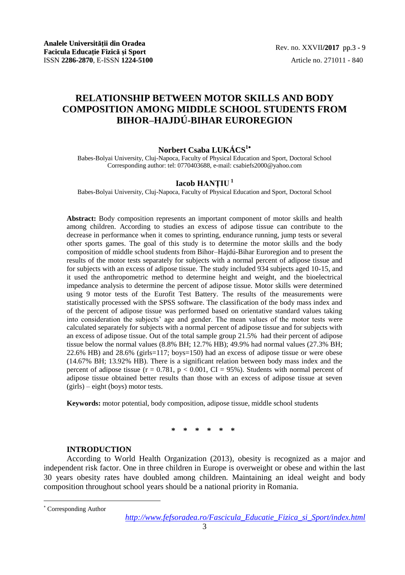# **RELATIONSHIP BETWEEN MOTOR SKILLS AND BODY COMPOSITION AMONG MIDDLE SCHOOL STUDENTS FROM BIHOR–HAJDÚ-BIHAR EUROREGION**

# **Norbert Csaba LUKÁCS<sup>1</sup>**

Babes-Bolyai University, Cluj-Napoca, Faculty of Physical Education and Sport, Doctoral School Corresponding author: tel: 0770403688, e-mail: csabiefs2000@yahoo.com

# **Iacob HANŢIU <sup>1</sup>**

Babes-Bolyai University, Cluj-Napoca, Faculty of Physical Education and Sport, Doctoral School

**Abstract:** Body composition represents an important component of motor skills and health among children. According to studies an excess of adipose tissue can contribute to the decrease in performance when it comes to sprinting, endurance running, jump tests or several other sports games. The goal of this study is to determine the motor skills and the body composition of middle school students from Bihor–Hajdú-Bihar Euroregion and to present the results of the motor tests separately for subjects with a normal percent of adipose tissue and for subjects with an excess of adipose tissue. The study included 934 subjects aged 10-15, and it used the anthropometric method to determine height and weight, and the bioelectrical impedance analysis to determine the percent of adipose tissue. Motor skills were determined using 9 motor tests of the Eurofit Test Battery. The results of the measurements were statistically processed with the SPSS software. The classification of the body mass index and of the percent of adipose tissue was performed based on orientative standard values taking into consideration the subjects' age and gender. The mean values of the motor tests were calculated separately for subjects with a normal percent of adipose tissue and for subjects with an excess of adipose tissue. Out of the total sample group 21.5% had their percent of adipose tissue below the normal values (8.8% BH; 12.7% HB); 49.9% had normal values (27.3% BH; 22.6% HB) and 28.6% (girls=117; boys=150) had an excess of adipose tissue or were obese (14.67% BH; 13.92% HB). There is a significant relation between body mass index and the percent of adipose tissue ( $r = 0.781$ ,  $p < 0.001$ , CI = 95%). Students with normal percent of adipose tissue obtained better results than those with an excess of adipose tissue at seven (girls) – eight (boys) motor tests.

**Keywords:** motor potential, body composition, adipose tissue, middle school students

**\* \* \* \* \* \***

#### **INTRODUCTION**

According to World Health Organization (2013), obesity is recognized as a major and independent risk factor. One in three children in Europe is overweight or obese and within the last 30 years obesity rates have doubled among children. Maintaining an ideal weight and body composition throughout school years should be a national priority in Romania.

l

Corresponding Author

*http://www.fefsoradea.ro/Fascicula\_Educatie\_Fizica\_si\_Sport/index.html*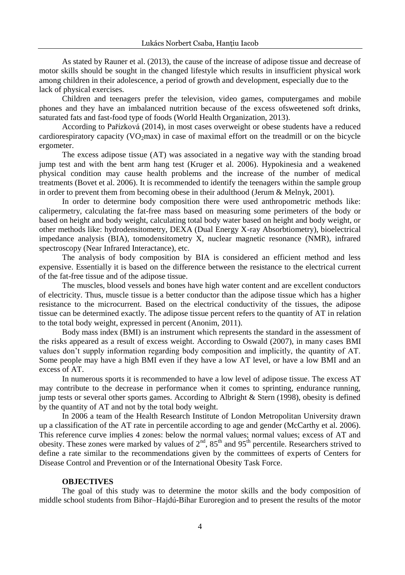As stated by Rauner et al. (2013), the cause of the increase of adipose tissue and decrease of motor skills should be sought in the changed lifestyle which results in insufficient physical work among children in their adolescence, a period of growth and development, especially due to the lack of physical exercises.

Children and teenagers prefer the television, video games, computergames and mobile phones and they have an imbalanced nutrition because of the excess ofsweetened soft drinks, saturated fats and fast-food type of foods (World Health Organization, 2013).

According to [Pařízková](http://www.sciencedirect.com/science/article/pii/S1018364714000354) (2014), in most cases overweight or obese students have a reduced cardiorespiratory capacity  $(VO<sub>2</sub>max)$  in case of maximal effort on the treadmill or on the bicycle ergometer.

The excess adipose tissue (AT) was associated in a negative way with the standing broad jump test and with the bent arm hang test (Kruger et al. 2006). Hypokinesia and a weakened physical condition may cause health problems and the increase of the number of medical treatments (Bovet et al. 2006). It is recommended to identify the teenagers within the sample group in order to prevent them from becoming obese in their adulthood (Jerum & Melnyk, 2001).

In order to determine body composition there were used anthropometric methods like: calipermetry, calculating the fat-free mass based on measuring some perimeters of the body or based on height and body weight, calculating total body water based on height and body weight, or other methods like: hydrodensitometry, DEXA (Dual Energy X-ray Absorbtiometry), bioelectrical impedance analysis (BIA), tomodensitometry X, nuclear magnetic resonance (NMR), infrared spectroscopy (Near Infrared Interactance), etc.

The analysis of body composition by BIA is considered an efficient method and less expensive. Essentially it is based on the difference between the resistance to the electrical current of the fat-free tissue and of the adipose tissue.

The muscles, blood vessels and bones have high water content and are excellent conductors of electricity. Thus, muscle tissue is a better conductor than the adipose tissue which has a higher resistance to the microcurrent. Based on the electrical conductivity of the tissues, the adipose tissue can be determined exactly. The adipose tissue percent refers to the quantity of AT in relation to the total body weight, expressed in percent (Anonim, 2011).

Body mass index (BMI) is an instrument which represents the standard in the assessment of the risks appeared as a result of excess weight. According to Oswald (2007), in many cases BMI values don't supply information regarding body composition and implicitly, the quantity of AT. Some people may have a high BMI even if they have a low AT level, or have a low BMI and an excess of AT.

In numerous sports it is recommended to have a low level of adipose tissue. The excess AT may contribute to the decrease in performance when it comes to sprinting, endurance running, jump tests or several other sports games. According to Albright & Stern (1998), obesity is defined by the quantity of AT and not by the total body weight.

In 2006 a team of the Health Research Institute of London Metropolitan University drawn up a classification of the AT rate in percentile according to age and gender (McCarthy et al. 2006). This reference curve implies 4 zones: below the normal values; normal values; excess of AT and obesity. These zones were marked by values of  $2<sup>nd</sup>$ ,  $85<sup>th</sup>$  and  $95<sup>th</sup>$  percentile. Researchers strived to define a rate similar to the recommendations given by the committees of experts of Centers for Disease Control and Prevention or of the International Obesity Task Force.

### **OBJECTIVES**

The goal of this study was to determine the motor skills and the body composition of middle school students from Bihor–Hajdú-Bihar Euroregion and to present the results of the motor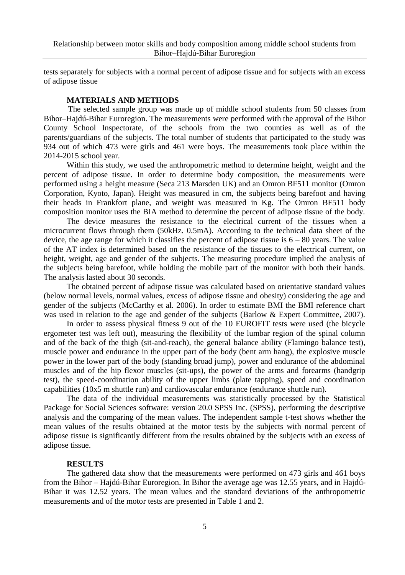tests separately for subjects with a normal percent of adipose tissue and for subjects with an excess of adipose tissue

#### **MATERIALS AND METHODS**

 The selected sample group was made up of middle school students from 50 classes from Bihor–Hajdú-Bihar Euroregion. The measurements were performed with the approval of the Bihor County School Inspectorate, of the schools from the two counties as well as of the parents/guardians of the subjects. The total number of students that participated to the study was 934 out of which 473 were girls and 461 were boys. The measurements took place within the 2014-2015 school year.

Within this study, we used the anthropometric method to determine height, weight and the percent of adipose tissue. In order to determine body composition, the measurements were performed using a height measure (Seca 213 Marsden UK) and an Omron BF511 monitor (Omron Corporation, Kyoto, Japan). Height was measured in cm, the subjects being barefoot and having their heads in Frankfort plane, and weight was measured in Kg. The Omron BF511 body composition monitor uses the BIA method to determine the percent of adipose tissue of the body.

The device measures the resistance to the electrical current of the tissues when a microcurrent flows through them (50kHz. 0.5mA). According to the technical data sheet of the device, the age range for which it classifies the percent of adipose tissue is  $6 - 80$  years. The value of the AT index is determined based on the resistance of the tissues to the electrical current, on height, weight, age and gender of the subjects. The measuring procedure implied the analysis of the subjects being barefoot, while holding the mobile part of the monitor with both their hands. The analysis lasted about 30 seconds.

The obtained percent of adipose tissue was calculated based on orientative standard values (below normal levels, normal values, excess of adipose tissue and obesity) considering the age and gender of the subjects (McCarthy et al. 2006). In order to estimate BMI the BMI reference chart was used in relation to the age and gender of the subjects (Barlow & Expert Committee, 2007).

In order to assess physical fitness 9 out of the 10 EUROFIT tests were used (the bicycle ergometer test was left out), measuring the flexibility of the lumbar region of the spinal column and of the back of the thigh (sit-and-reach), the general balance ability (Flamingo balance test), muscle power and endurance in the upper part of the body (bent arm hang), the explosive muscle power in the lower part of the body (standing broad jump), power and endurance of the abdominal muscles and of the hip flexor muscles (sit-ups), the power of the arms and forearms (handgrip test), the speed-coordination ability of the upper limbs (plate tapping), speed and coordination capabilities (10x5 m shuttle run) and cardiovascular endurance (endurance shuttle run).

The data of the individual measurements was statistically processed by the Statistical Package for Social Sciences software: version 20.0 SPSS Inc. (SPSS), performing the descriptive analysis and the comparing of the mean values. The independent sample t-test shows whether the mean values of the results obtained at the motor tests by the subjects with normal percent of adipose tissue is significantly different from the results obtained by the subjects with an excess of adipose tissue.

#### **RESULTS**

The gathered data show that the measurements were performed on 473 girls and 461 boys from the Bihor – Hajdú-Bihar Euroregion. In Bihor the average age was 12.55 years, and in Hajdú-Bihar it was 12.52 years. The mean values and the standard deviations of the anthropometric measurements and of the motor tests are presented in Table 1 and 2.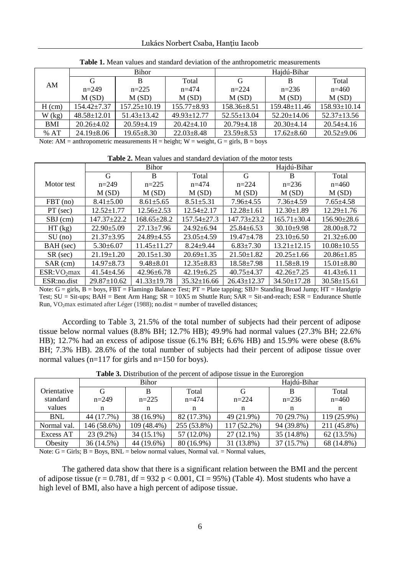|            | <b>Bihor</b>      |                  |                  | Haidú-Bihar      |                    |                  |  |
|------------|-------------------|------------------|------------------|------------------|--------------------|------------------|--|
| AM         | G                 | Total<br>B       |                  | G                | B                  | Total            |  |
|            | $n=249$           | $n=225$          | $n = 474$        | $n = 224$        | $n=236$            | $n=460$          |  |
|            | M(SD)             | M(SD)            | M(SD)            | M(SD)            | M(SD)              | M(SD)            |  |
| $H$ (cm)   | $154.42 \pm 7.37$ | $157.25 + 10.19$ | $155.77 + 8.93$  | $158.36 + 8.51$  | $159.48 \pm 11.46$ | $158.93+10.14$   |  |
| $W$ (kg)   | $48.58 \pm 12.01$ | $51.43 + 13.42$  | $49.93 + 12.77$  | $52.55 + 13.04$  | $52.20 + 14.06$    | $52.37 + 13.56$  |  |
| <b>BMI</b> | $20.26 + 4.02$    | $20.59 + 4.19$   | $20.42 + 4.10$   | $20.79 + 4.18$   | $20.30 + 4.14$     | $20.54 + 4.16$   |  |
| %AT        | $24.19 \pm 8.06$  | $19.65 \pm 8.30$ | $22.03 \pm 8.48$ | $23.59 \pm 8.53$ | $17.62 + 8.60$     | $20.52 \pm 9.06$ |  |

**Table 1.** Mean values and standard deviation of the anthropometric measurements

Note: AM = anthropometric measurements  $H =$  height;  $W =$  weight,  $G =$  girls,  $B =$  boys

**Table 2.** Mean values and standard deviation of the motor tests

|                         |                   | Bihor            |                   | Hajdú-Bihar       |                   |                   |  |
|-------------------------|-------------------|------------------|-------------------|-------------------|-------------------|-------------------|--|
|                         | G                 | B                | Total             | G                 | B                 | Total             |  |
| Motor test              | $n=249$           | $n=225$          | $n = 474$         | $n = 224$         | $n=236$           | $n=460$           |  |
|                         | M(SD)             | M(SD)            | M(SD)             | M(SD)             | M(SD)             | M(SD)             |  |
| $FBT$ (no)              | $8.41 \pm 5.00$   | $8.61 \pm 5.65$  | $8.51 \pm 5.31$   | $7.96 \pm 4.55$   | $7.36 \pm 4.59$   | $7.65 \pm 4.58$   |  |
| $PT$ (sec)              | $12.52 + 1.77$    | $12.56 + 2.53$   | $12.54 \pm 2.17$  | $12.28 \pm 1.61$  | $12.30 + 1.89$    | $12.29 + 1.76$    |  |
| SBJ (cm)                | $147.37 \pm 22.2$ | $168.65 + 28.2$  | 157.54+27.3       | $147.73 \pm 23.2$ | $165.71 \pm 30.4$ | $156.90 + 28.6$   |  |
| HT (kg)                 | $22.90 \pm 5.09$  | $27.13 \pm 7.96$ | $24.92 \pm 6.94$  | $25.84 \pm 6.53$  | $30.10\pm9.98$    | $28.00 \pm 8.72$  |  |
| SU (no)                 | $21.37 \pm 3.95$  | $24.89 + 4.55$   | $23.05 \pm 4.59$  | $19.47 + 4.78$    | $23.10\pm 6.50$   | $21.32 + 6.00$    |  |
| BAH (sec)               | $5.30\pm 6.07$    | $11.45 + 11.27$  | $8.24 + 9.44$     | $6.83 \pm 7.30$   | $13.21 + 12.15$   | $10.08 \pm 10.55$ |  |
| $SR$ (sec)              | $21.19 + 1.20$    | $20.15 + 1.30$   | $20.69 + 1.35$    | $21.50 + 1.82$    | $20.25 \pm 1.66$  | $20.86 \pm 1.85$  |  |
| SAR (cm)                | $14.97 \pm 8.73$  | $9.48 \pm 8.01$  | $12.35 \pm 8.83$  | $18.58 \pm 7.98$  | $11.58 \pm 8.19$  | $15.01 \pm 8.80$  |  |
| ESR:VO <sub>2</sub> max | $41.54 + 4.56$    | $42.96 \pm 6.78$ | $42.19 \pm 6.25$  | $40.75 \pm 4.37$  | $42.26 + 7.25$    | $41.43 \pm 6.11$  |  |
| ESR:no.dist             | $29.87 + 10.62$   | $41.33 + 19.78$  | $35.32 \pm 16.66$ | $26.43 + 12.37$   | $34.50 + 17.28$   | $30.58 + 15.61$   |  |

Note: G = girls, B = boys, FBT = Flamingo Balance Test; PT = Plate tapping; SBJ= Standing Broad Jump; HT = Handgrip Test; SU = Sit-ups; BAH = Bent Arm Hang; SR = 10X5 m Shuttle Run; SAR = Sit-and-reach; ESR = Endurance Shuttle Run, VO<sub>2</sub>max estimated after Léger (1988); no.dist = number of travelled distances;

According to Table 3, 21.5% of the total number of subjects had their percent of adipose tissue below normal values (8.8% BH; 12.7% HB); 49.9% had normal values (27.3% BH; 22.6% HB); 12.7% had an excess of adipose tissue (6.1% BH; 6.6% HB) and 15.9% were obese (8.6% BH; 7.3% HB). 28.6% of the total number of subjects had their percent of adipose tissue over normal values (n=117 for girls and n=150 for boys).

|             | Bihor       |               |             | Hajdú-Bihar  |            |             |  |
|-------------|-------------|---------------|-------------|--------------|------------|-------------|--|
| Orientative |             | B             | Total       |              |            | Total       |  |
| standard    | $n = 249$   | $n = 225$     | $n = 474$   | $n = 224$    | $n=236$    | $n=460$     |  |
| values      | n           | n             | n           | n            | n          | n           |  |
| <b>BNL</b>  | 44 (17.7%)  | 38 (16.9%)    | 82 (17.3%)  | 49 (21.9%)   | 70 (29.7%) | 119 (25.9%) |  |
| Normal val. | 146 (58.6%) | $109(48.4\%)$ | 255 (53.8%) | 117 (52.2%)  | 94 (39.8%) | 211 (45.8%) |  |
| Excess AT   | $23(9.2\%)$ | 34 (15.1%)    | 57 (12.0%)  | $27(12.1\%)$ | 35 (14.8%) | 62 (13.5%)  |  |
| Obesity     | 36 (14.5%)  | 44 (19.6%)    | 80 (16.9%)  | 31 (13.8%)   | 37 (15.7%) | 68 (14.8%)  |  |

**Table 3.** Distribution of the percent of adipose tissue in the Euroregion

Note:  $G =$  Girls;  $B =$  Boys,  $BNL =$  below normal values, Normal val. = Normal values,

The gathered data show that there is a significant relation between the BMI and the percent of adipose tissue (r =  $0.781$ , df =  $932$  p <  $0.001$ , CI =  $95\%$ ) (Table 4). Most students who have a high level of BMI, also have a high percent of adipose tissue.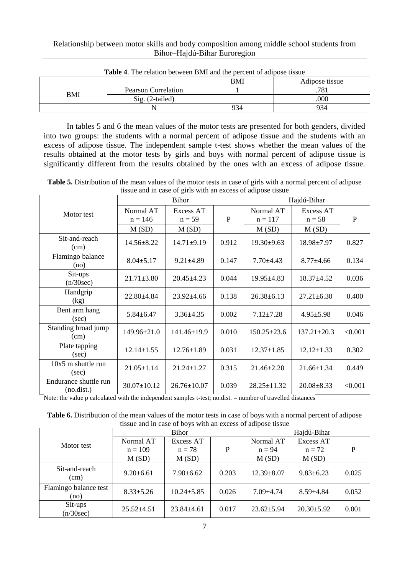### Relationship between motor skills and body composition among middle school students from Bihor–Hajdú-Bihar Euroregion

|     | <b>Table 4.</b> The relation between Divit and the percent of adipose ussue | BMI | Adipose tissue |
|-----|-----------------------------------------------------------------------------|-----|----------------|
| BMI | Pearson Correlation                                                         |     | 781            |
|     | $\mathrm{Sig.}$ (2-tailed)                                                  |     | .000           |
|     |                                                                             | 934 | 934            |

### **Table 4**. The relation between BMI and the percent of adipose tissue

In tables 5 and 6 the mean values of the motor tests are presented for both genders, divided into two groups: the students with a normal percent of adipose tissue and the students with an excess of adipose tissue. The independent sample t-test shows whether the mean values of the results obtained at the motor tests by girls and boys with normal percent of adipose tissue is significantly different from the results obtained by the ones with an excess of adipose tissue.

**Table 5.** Distribution of the mean values of the motor tests in case of girls with a normal percent of adipose tissue and in case of girls with an excess of adipose tissue

|                                     |                        | Bihor                 | Hajdú-Bihar |                        |                       |         |  |
|-------------------------------------|------------------------|-----------------------|-------------|------------------------|-----------------------|---------|--|
| Motor test                          | Normal AT<br>$n = 146$ | Excess AT<br>$n = 59$ | P           | Normal AT<br>$n = 117$ | Excess AT<br>$n = 58$ | P       |  |
|                                     | M(SD)                  | M(SD)                 |             | M(SD)                  | M(SD)                 |         |  |
| Sit-and-reach<br>(cm)               | $14.56 \pm 8.22$       | $14.71 \pm 9.19$      | 0.912       | $19.30 \pm 9.63$       | 18.98±7.97            | 0.827   |  |
| Flamingo balance<br>(no)            | $8.04 \pm 5.17$        | $9.21 \pm 4.89$       | 0.147       | $7.70 \pm 4.43$        | $8.77 \pm 4.66$       | 0.134   |  |
| Sit-ups<br>(n/30sec)                | $21.71 \pm 3.80$       | $20.45 \pm 4.23$      | 0.044       | $19.95 \pm 4.83$       | $18.37 \pm 4.52$      | 0.036   |  |
| Handgrip<br>(kg)                    | $22.80 \pm 4.84$       | $23.92 \pm 4.66$      | 0.138       | $26.38 \pm 6.13$       | $27.21 \pm 6.30$      | 0.400   |  |
| Bent arm hang<br>(sec)              | $5.84 \pm 6.47$        | $3.36 \pm 4.35$       | 0.002       | $7.12 \pm 7.28$        | $4.95 \pm 5.98$       | 0.046   |  |
| Standing broad jump<br>(cm)         | 149.96±21.0            | $141.46 \pm 19.9$     | 0.010       | $150.25 \pm 23.6$      | $137.21 \pm 20.3$     | < 0.001 |  |
| Plate tapping<br>(sec)              | $12.14 \pm 1.55$       | $12.76 \pm 1.89$      | 0.031       | $12.37 \pm 1.85$       | $12.12 \pm 1.33$      | 0.302   |  |
| $10x5$ m shuttle run<br>(sec)       | $21.05 \pm 1.14$       | $21.24 \pm 1.27$      | 0.315       | $21.46 \pm 2.20$       | $21.66 \pm 1.34$      | 0.449   |  |
| Endurance shuttle run<br>(no.dist.) | $30.07 \pm 10.12$      | $26.76 \pm 10.07$     | 0.039       | $28.25 \pm 11.32$      | $20.08 \pm 8.33$      | < 0.001 |  |

Note: the value p calculated with the independent samples t-test; no.dist. = number of travelled distances

**Table 6.** Distribution of the mean values of the motor tests in case of boys with a normal percent of adipose tissue and in case of boys with an excess of adipose tissue

|                               |                  | Bihor            |       | Hajdú-Bihar      |                  |       |  |
|-------------------------------|------------------|------------------|-------|------------------|------------------|-------|--|
| Motor test                    | Normal AT        | Excess AT        |       | Normal AT        | Excess AT        |       |  |
|                               | $n = 109$        | $n = 78$         | P     | $n = 94$         | $n = 72$         | P     |  |
|                               | M(SD)            | M(SD)            |       | M(SD)            | M(SD)            |       |  |
| Sit-and-reach<br>(cm)         | $9.20 \pm 6.61$  | $7.90 \pm 6.62$  | 0.203 | $12.39 \pm 8.07$ | $9.83 \pm 6.23$  | 0.025 |  |
| Flamingo balance test<br>(no) | $8.33 \pm 5.26$  | $10.24 \pm 5.85$ | 0.026 | $7.09 \pm 4.74$  | $8.59 \pm 4.84$  | 0.052 |  |
| Sit-ups<br>(n/30sec)          | $25.52 \pm 4.51$ | $23.84 \pm 4.61$ | 0.017 | $23.62 \pm 5.94$ | $20.30 \pm 5.92$ | 0.001 |  |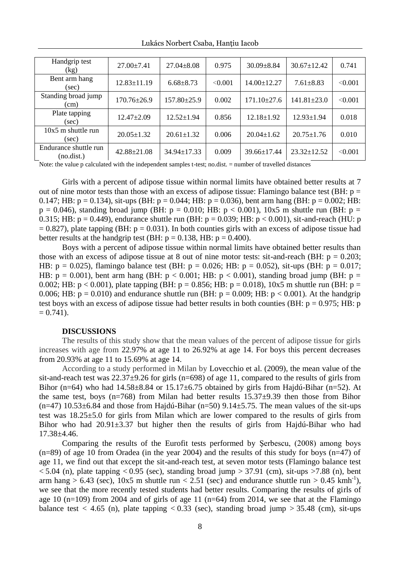| Handgrip test<br>(kg)               | $27.00 \pm 7.41$  | $27.04 \pm 8.08$  | 0.975   | $30.09 \pm 8.84$  | $30.67 \pm 12.42$ | 0.741   |
|-------------------------------------|-------------------|-------------------|---------|-------------------|-------------------|---------|
| Bent arm hang<br>(sec)              | $12.83 \pm 11.19$ | $6.68 \pm 8.73$   | < 0.001 | $14.00 \pm 12.27$ | $7.61 \pm 8.83$   | < 0.001 |
| Standing broad jump<br>(cm)         | 170.76±26.9       | $157.80 \pm 25.9$ | 0.002   | $171.10 \pm 27.6$ | $141.81 \pm 23.0$ | < 0.001 |
| Plate tapping<br>(sec)              | $12.47 \pm 2.09$  | $12.52 \pm 1.94$  | 0.856   | $12.18 \pm 1.92$  | $12.93 \pm 1.94$  | 0.018   |
| $10x5$ m shuttle run<br>(sec)       | $20.05 \pm 1.32$  | $20.61 \pm 1.32$  | 0.006   | $20.04 \pm 1.62$  | $20.75 \pm 1.76$  | 0.010   |
| Endurance shuttle run<br>(no.dist.) | $42.88 \pm 21.08$ | $34.94 \pm 17.33$ | 0.009   | $39.66 \pm 17.44$ | $23.32 + 12.52$   | < 0.001 |

Lukács Norbert Csaba, Hanțiu Iacob

Note: the value p calculated with the independent samples t-test; no.dist. = number of travelled distances

Girls with a percent of adipose tissue within normal limits have obtained better results at 7 out of nine motor tests than those with an excess of adipose tissue: Flamingo balance test (BH:  $p =$ 0.147; HB:  $p = 0.134$ ), sit-ups (BH:  $p = 0.044$ ; HB:  $p = 0.036$ ), bent arm hang (BH:  $p = 0.002$ ; HB:  $p = 0.046$ ), standing broad jump (BH:  $p = 0.010$ ; HB:  $p < 0.001$ ),  $10x5$  m shuttle run (BH:  $p =$ 0.315; HB:  $p = 0.449$ ), endurance shuttle run (BH:  $p = 0.039$ ; HB:  $p < 0.001$ ), sit-and-reach (HU: p  $= 0.827$ ), plate tapping (BH:  $p = 0.031$ ). In both counties girls with an excess of adipose tissue had better results at the handgrip test (BH:  $p = 0.138$ , HB:  $p = 0.400$ ).

Boys with a percent of adipose tissue within normal limits have obtained better results than those with an excess of adipose tissue at 8 out of nine motor tests: sit-and-reach (BH:  $p = 0.203$ ; HB:  $p = 0.025$ ), flamingo balance test (BH:  $p = 0.026$ ; HB:  $p = 0.052$ ), sit-ups (BH:  $p = 0.017$ ; HB:  $p = 0.001$ ), bent arm hang (BH:  $p < 0.001$ ; HB:  $p < 0.001$ ), standing broad jump (BH:  $p =$ 0.002; HB:  $p < 0.001$ ), plate tapping (BH:  $p = 0.856$ ; HB:  $p = 0.018$ ), 10x5 m shuttle run (BH:  $p = 0.002$ ) 0.006; HB:  $p = 0.010$ ) and endurance shuttle run (BH:  $p = 0.009$ ; HB:  $p < 0.001$ ). At the handgrip test boys with an excess of adipose tissue had better results in both counties (BH:  $p = 0.975$ ; HB: p  $= 0.741$ .

#### **DISCUSSIONS**

The results of this study show that the mean values of the percent of adipose tissue for girls increases with age from 22.97% at age 11 to 26.92% at age 14. For boys this percent decreases from 20.93% at age 11 to 15.69% at age 14.

According to a study performed in Milan by Lovecchio et al. (2009), the mean value of the sit-and-reach test was  $22.37\pm9.26$  for girls (n=698) of age 11, compared to the results of girls from Bihor (n=64) who had  $14.58\pm8.84$  or  $15.17\pm6.75$  obtained by girls from Hajdú-Bihar (n=52). At the same test, boys  $(n=768)$  from Milan had better results  $15.37\pm9.39$  then those from Bihor  $(n=47)$  10.53 $\pm$ 6.84 and those from Hajdú-Bihar (n=50) 9.14 $\pm$ 5.75. The mean values of the sit-ups test was 18.25±5.0 for girls from Milan which are lower compared to the results of girls from Bihor who had  $20.91\pm3.37$  but higher then the results of girls from Hajdú-Bihar who had 17.38±4.46.

Comparing the results of the Eurofit tests performed by Şerbescu, (2008) among boys  $(n=89)$  of age 10 from Oradea (in the year 2004) and the results of this study for boys  $(n=47)$  of age 11, we find out that except the sit-and-reach test, at seven motor tests (Flamingo balance test  $<$  5.04 (n), plate tapping  $<$  0.95 (sec), standing broad jump  $>$  37.91 (cm), sit-ups  $>$  7.88 (n), bent arm hang > 6.43 (sec), 10x5 m shuttle run < 2.51 (sec) and endurance shuttle run > 0.45 kmh<sup>-1</sup>), we see that the more recently tested students had better results. Comparing the results of girls of age 10 (n=109) from 2004 and of girls of age 11 (n=64) from 2014, we see that at the Flamingo balance test  $<$  4.65 (n), plate tapping  $<$  0.33 (sec), standing broad jump  $>$  35.48 (cm), sit-ups